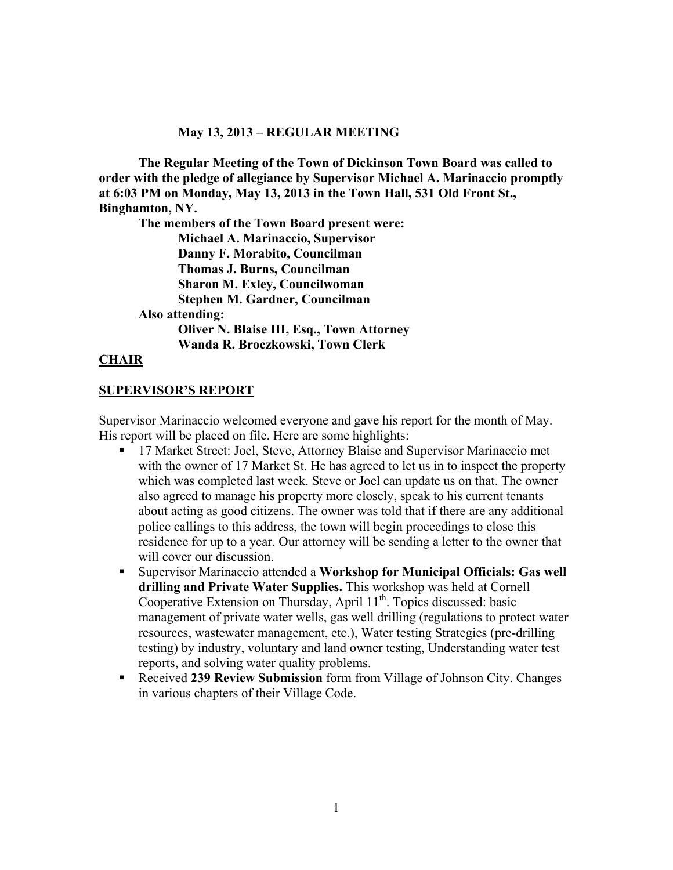#### **May 13, 2013 – REGULAR MEETING**

**The Regular Meeting of the Town of Dickinson Town Board was called to order with the pledge of allegiance by Supervisor Michael A. Marinaccio promptly at 6:03 PM on Monday, May 13, 2013 in the Town Hall, 531 Old Front St., Binghamton, NY.** 

**The members of the Town Board present were: Michael A. Marinaccio, Supervisor Danny F. Morabito, Councilman Thomas J. Burns, Councilman Sharon M. Exley, Councilwoman Stephen M. Gardner, Councilman Also attending: Oliver N. Blaise III, Esq., Town Attorney Wanda R. Broczkowski, Town Clerk** 

#### **CHAIR**

#### **SUPERVISOR'S REPORT**

Supervisor Marinaccio welcomed everyone and gave his report for the month of May. His report will be placed on file. Here are some highlights:

- 17 Market Street: Joel, Steve, Attorney Blaise and Supervisor Marinaccio met with the owner of 17 Market St. He has agreed to let us in to inspect the property which was completed last week. Steve or Joel can update us on that. The owner also agreed to manage his property more closely, speak to his current tenants about acting as good citizens. The owner was told that if there are any additional police callings to this address, the town will begin proceedings to close this residence for up to a year. Our attorney will be sending a letter to the owner that will cover our discussion.
- Supervisor Marinaccio attended a **Workshop for Municipal Officials: Gas well drilling and Private Water Supplies.** This workshop was held at Cornell Cooperative Extension on Thursday, April  $11<sup>th</sup>$ . Topics discussed: basic management of private water wells, gas well drilling (regulations to protect water resources, wastewater management, etc.), Water testing Strategies (pre-drilling testing) by industry, voluntary and land owner testing, Understanding water test reports, and solving water quality problems.
- Received **239 Review Submission** form from Village of Johnson City. Changes in various chapters of their Village Code.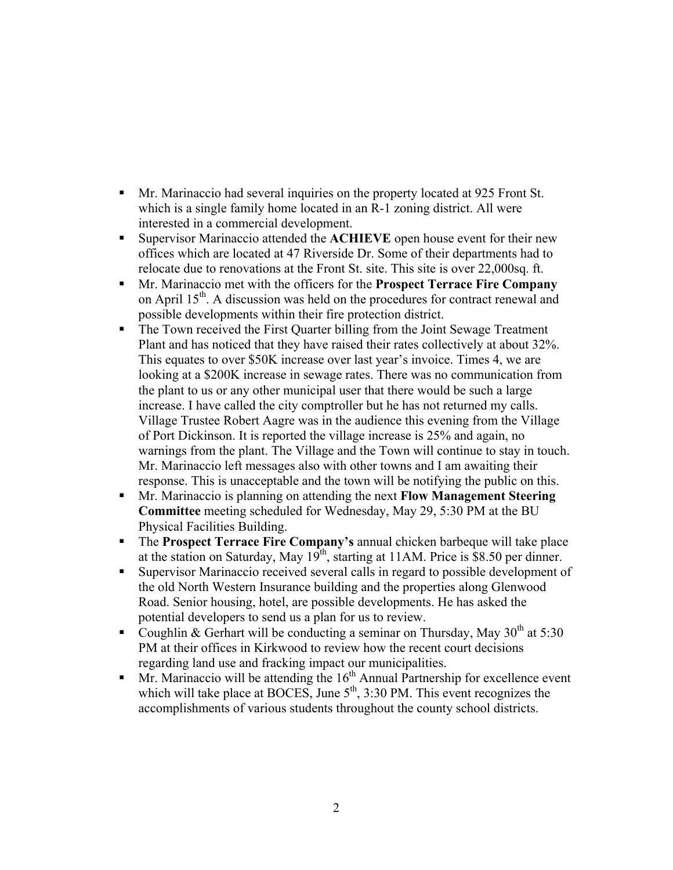- Mr. Marinaccio had several inquiries on the property located at 925 Front St. which is a single family home located in an R-1 zoning district. All were interested in a commercial development.
- Supervisor Marinaccio attended the **ACHIEVE** open house event for their new offices which are located at 47 Riverside Dr. Some of their departments had to relocate due to renovations at the Front St. site. This site is over 22,000sq. ft.
- Mr. Marinaccio met with the officers for the **Prospect Terrace Fire Company** on April  $15<sup>th</sup>$ . A discussion was held on the procedures for contract renewal and possible developments within their fire protection district.
- The Town received the First Quarter billing from the Joint Sewage Treatment Plant and has noticed that they have raised their rates collectively at about 32%. This equates to over \$50K increase over last year's invoice. Times 4, we are looking at a \$200K increase in sewage rates. There was no communication from the plant to us or any other municipal user that there would be such a large increase. I have called the city comptroller but he has not returned my calls. Village Trustee Robert Aagre was in the audience this evening from the Village of Port Dickinson. It is reported the village increase is 25% and again, no warnings from the plant. The Village and the Town will continue to stay in touch. Mr. Marinaccio left messages also with other towns and I am awaiting their response. This is unacceptable and the town will be notifying the public on this.
- Mr. Marinaccio is planning on attending the next **Flow Management Steering Committee** meeting scheduled for Wednesday, May 29, 5:30 PM at the BU Physical Facilities Building.
- The **Prospect Terrace Fire Company's** annual chicken barbeque will take place at the station on Saturday, May  $19<sup>th</sup>$ , starting at 11AM. Price is \$8.50 per dinner.
- Supervisor Marinaccio received several calls in regard to possible development of the old North Western Insurance building and the properties along Glenwood Road. Senior housing, hotel, are possible developments. He has asked the potential developers to send us a plan for us to review.
- Coughlin & Gerhart will be conducting a seminar on Thursday, May  $30<sup>th</sup>$  at 5:30 PM at their offices in Kirkwood to review how the recent court decisions regarding land use and fracking impact our municipalities.
- $Mr$ . Marinaccio will be attending the  $16<sup>th</sup>$  Annual Partnership for excellence event which will take place at BOCES, June  $5<sup>th</sup>$ , 3:30 PM. This event recognizes the accomplishments of various students throughout the county school districts.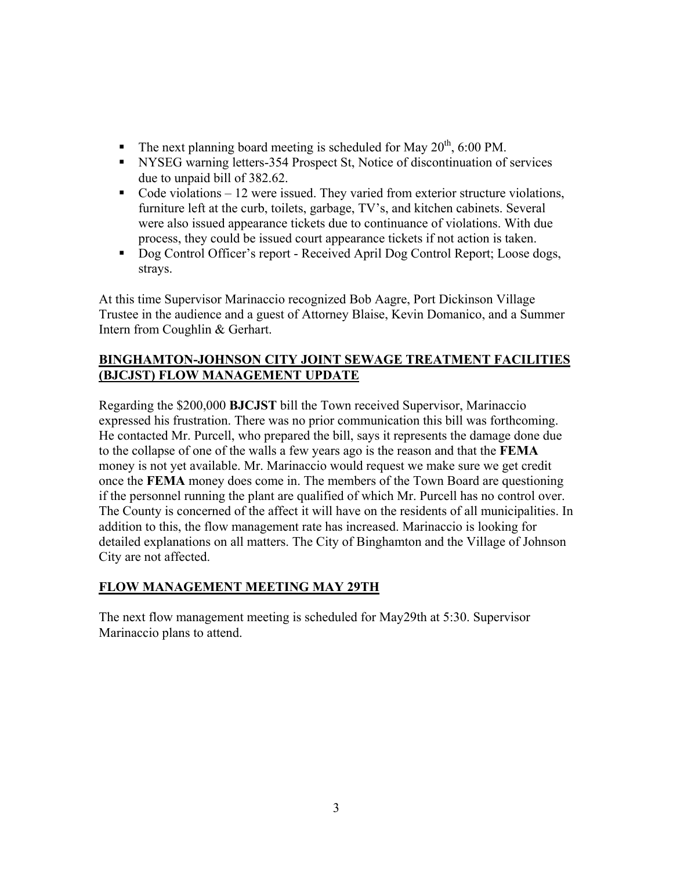- The next planning board meeting is scheduled for May  $20^{th}$ , 6:00 PM.
- NYSEG warning letters-354 Prospect St, Notice of discontinuation of services due to unpaid bill of 382.62.
- Code violations  $-12$  were issued. They varied from exterior structure violations, furniture left at the curb, toilets, garbage, TV's, and kitchen cabinets. Several were also issued appearance tickets due to continuance of violations. With due process, they could be issued court appearance tickets if not action is taken.
- Dog Control Officer's report Received April Dog Control Report; Loose dogs, strays.

At this time Supervisor Marinaccio recognized Bob Aagre, Port Dickinson Village Trustee in the audience and a guest of Attorney Blaise, Kevin Domanico, and a Summer Intern from Coughlin & Gerhart.

## **BINGHAMTON-JOHNSON CITY JOINT SEWAGE TREATMENT FACILITIES (BJCJST) FLOW MANAGEMENT UPDATE**

Regarding the \$200,000 **BJCJST** bill the Town received Supervisor, Marinaccio expressed his frustration. There was no prior communication this bill was forthcoming. He contacted Mr. Purcell, who prepared the bill, says it represents the damage done due to the collapse of one of the walls a few years ago is the reason and that the **FEMA** money is not yet available. Mr. Marinaccio would request we make sure we get credit once the **FEMA** money does come in. The members of the Town Board are questioning if the personnel running the plant are qualified of which Mr. Purcell has no control over. The County is concerned of the affect it will have on the residents of all municipalities. In addition to this, the flow management rate has increased. Marinaccio is looking for detailed explanations on all matters. The City of Binghamton and the Village of Johnson City are not affected.

# **FLOW MANAGEMENT MEETING MAY 29TH**

The next flow management meeting is scheduled for May29th at 5:30. Supervisor Marinaccio plans to attend.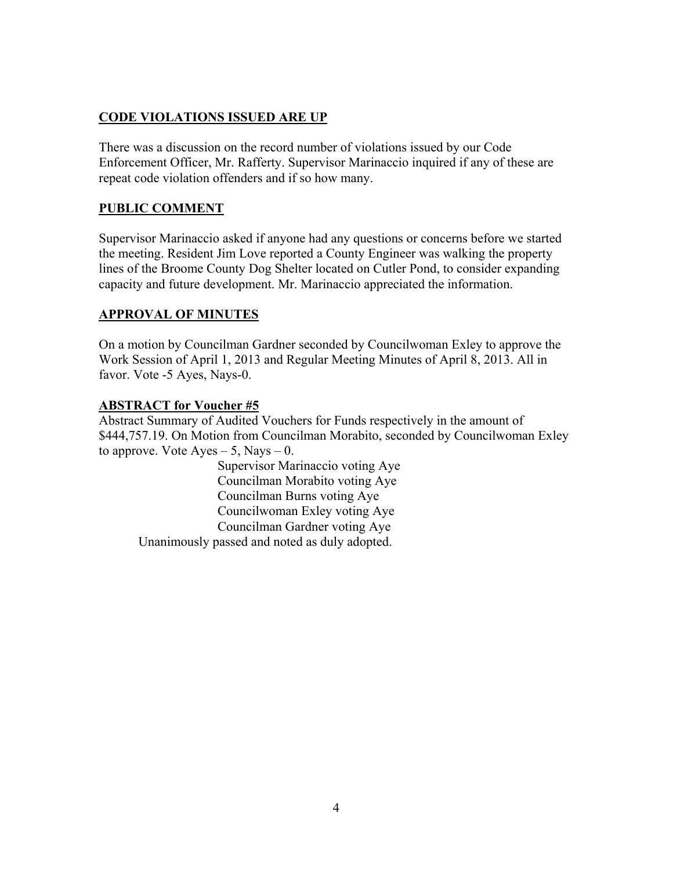## **CODE VIOLATIONS ISSUED ARE UP**

There was a discussion on the record number of violations issued by our Code Enforcement Officer, Mr. Rafferty. Supervisor Marinaccio inquired if any of these are repeat code violation offenders and if so how many.

## **PUBLIC COMMENT**

Supervisor Marinaccio asked if anyone had any questions or concerns before we started the meeting. Resident Jim Love reported a County Engineer was walking the property lines of the Broome County Dog Shelter located on Cutler Pond, to consider expanding capacity and future development. Mr. Marinaccio appreciated the information.

## **APPROVAL OF MINUTES**

On a motion by Councilman Gardner seconded by Councilwoman Exley to approve the Work Session of April 1, 2013 and Regular Meeting Minutes of April 8, 2013. All in favor. Vote -5 Ayes, Nays-0.

### **ABSTRACT for Voucher #5**

Abstract Summary of Audited Vouchers for Funds respectively in the amount of \$444,757.19. On Motion from Councilman Morabito, seconded by Councilwoman Exley to approve. Vote  $Ayes - 5$ , Nays  $- 0$ .

> Supervisor Marinaccio voting Aye Councilman Morabito voting Aye Councilman Burns voting Aye Councilwoman Exley voting Aye Councilman Gardner voting Aye

Unanimously passed and noted as duly adopted.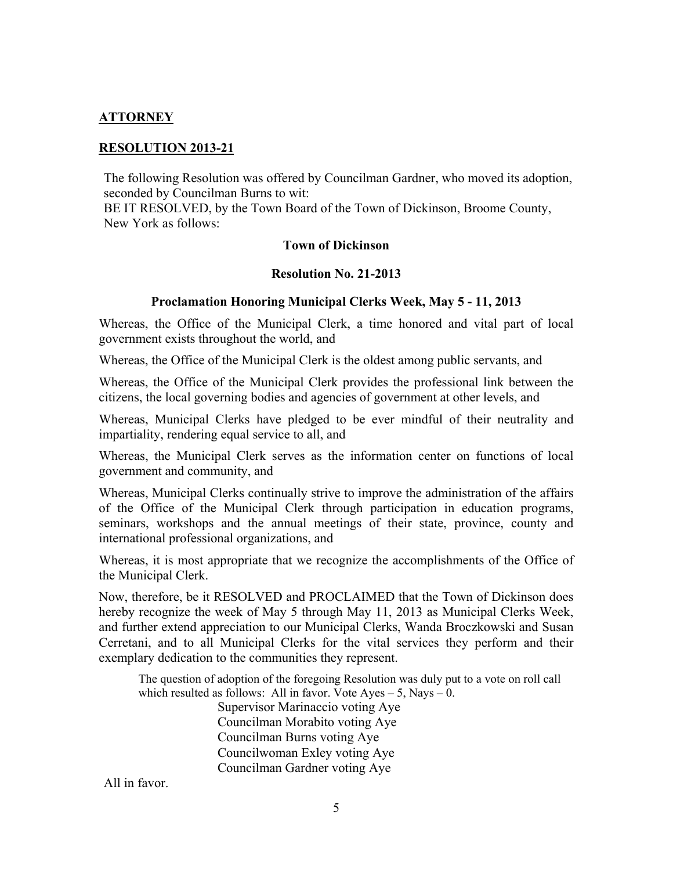## **ATTORNEY**

### **RESOLUTION 2013-21**

The following Resolution was offered by Councilman Gardner, who moved its adoption, seconded by Councilman Burns to wit:

BE IT RESOLVED, by the Town Board of the Town of Dickinson, Broome County, New York as follows:

#### **Town of Dickinson**

### **Resolution No. 21-2013**

### **Proclamation Honoring Municipal Clerks Week, May 5 - 11, 2013**

Whereas, the Office of the Municipal Clerk, a time honored and vital part of local government exists throughout the world, and

Whereas, the Office of the Municipal Clerk is the oldest among public servants, and

Whereas, the Office of the Municipal Clerk provides the professional link between the citizens, the local governing bodies and agencies of government at other levels, and

Whereas, Municipal Clerks have pledged to be ever mindful of their neutrality and impartiality, rendering equal service to all, and

Whereas, the Municipal Clerk serves as the information center on functions of local government and community, and

Whereas, Municipal Clerks continually strive to improve the administration of the affairs of the Office of the Municipal Clerk through participation in education programs, seminars, workshops and the annual meetings of their state, province, county and international professional organizations, and

Whereas, it is most appropriate that we recognize the accomplishments of the Office of the Municipal Clerk.

Now, therefore, be it RESOLVED and PROCLAIMED that the Town of Dickinson does hereby recognize the week of May 5 through May 11, 2013 as Municipal Clerks Week, and further extend appreciation to our Municipal Clerks, Wanda Broczkowski and Susan Cerretani, and to all Municipal Clerks for the vital services they perform and their exemplary dedication to the communities they represent.

The question of adoption of the foregoing Resolution was duly put to a vote on roll call which resulted as follows: All in favor. Vote Ayes  $-5$ , Nays  $-0$ .

> Supervisor Marinaccio voting Aye Councilman Morabito voting Aye Councilman Burns voting Aye Councilwoman Exley voting Aye Councilman Gardner voting Aye

All in favor.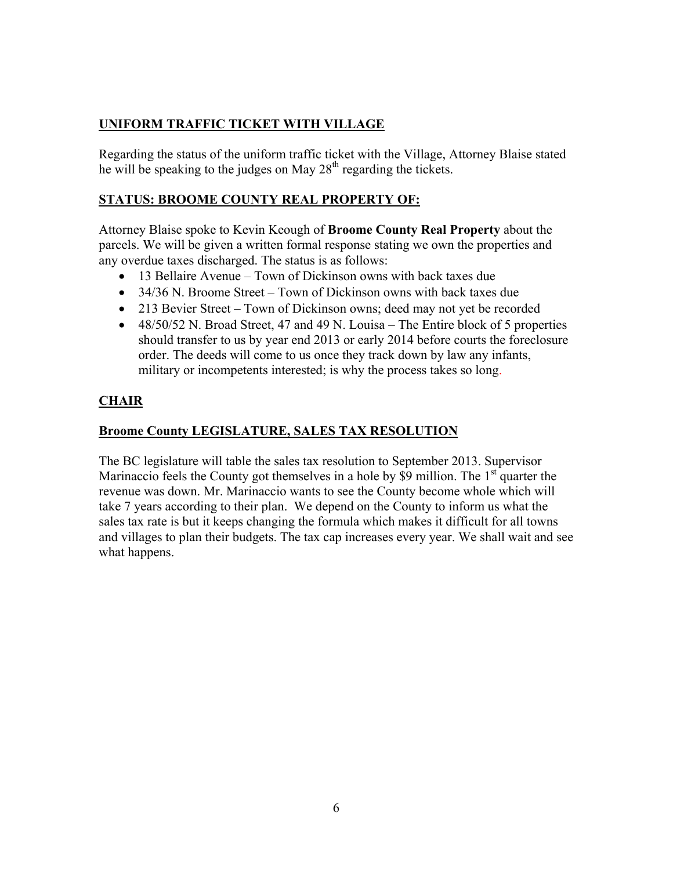# **UNIFORM TRAFFIC TICKET WITH VILLAGE**

Regarding the status of the uniform traffic ticket with the Village, Attorney Blaise stated he will be speaking to the judges on May 28<sup>th</sup> regarding the tickets.

# **STATUS: BROOME COUNTY REAL PROPERTY OF:**

Attorney Blaise spoke to Kevin Keough of **Broome County Real Property** about the parcels. We will be given a written formal response stating we own the properties and any overdue taxes discharged. The status is as follows:

- 13 Bellaire Avenue Town of Dickinson owns with back taxes due
- 34/36 N. Broome Street Town of Dickinson owns with back taxes due
- 213 Bevier Street Town of Dickinson owns; deed may not yet be recorded
- $\bullet$  48/50/52 N. Broad Street, 47 and 49 N. Louisa The Entire block of 5 properties should transfer to us by year end 2013 or early 2014 before courts the foreclosure order. The deeds will come to us once they track down by law any infants, military or incompetents interested; is why the process takes so long.

# **CHAIR**

# **Broome County LEGISLATURE, SALES TAX RESOLUTION**

The BC legislature will table the sales tax resolution to September 2013. Supervisor Marinaccio feels the County got themselves in a hole by \$9 million. The  $1<sup>st</sup>$  quarter the revenue was down. Mr. Marinaccio wants to see the County become whole which will take 7 years according to their plan. We depend on the County to inform us what the sales tax rate is but it keeps changing the formula which makes it difficult for all towns and villages to plan their budgets. The tax cap increases every year. We shall wait and see what happens.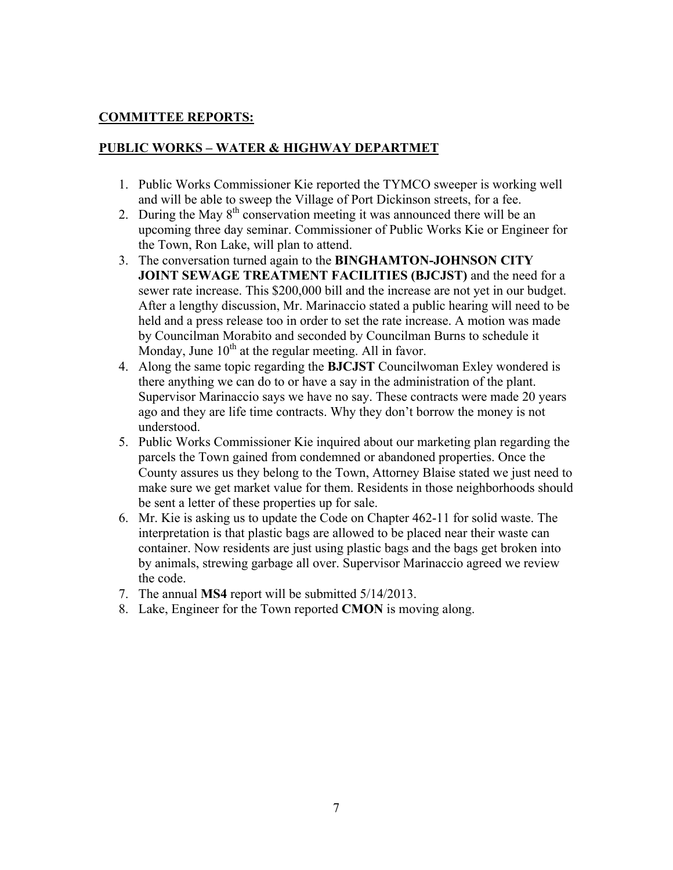## **COMMITTEE REPORTS:**

## **PUBLIC WORKS – WATER & HIGHWAY DEPARTMET**

- 1. Public Works Commissioner Kie reported the TYMCO sweeper is working well and will be able to sweep the Village of Port Dickinson streets, for a fee.
- 2. During the May  $8<sup>th</sup>$  conservation meeting it was announced there will be an upcoming three day seminar. Commissioner of Public Works Kie or Engineer for the Town, Ron Lake, will plan to attend.
- 3. The conversation turned again to the **BINGHAMTON-JOHNSON CITY JOINT SEWAGE TREATMENT FACILITIES (BJCJST)** and the need for a sewer rate increase. This \$200,000 bill and the increase are not yet in our budget. After a lengthy discussion, Mr. Marinaccio stated a public hearing will need to be held and a press release too in order to set the rate increase. A motion was made by Councilman Morabito and seconded by Councilman Burns to schedule it Monday, June  $10<sup>th</sup>$  at the regular meeting. All in favor.
- 4. Along the same topic regarding the **BJCJST** Councilwoman Exley wondered is there anything we can do to or have a say in the administration of the plant. Supervisor Marinaccio says we have no say. These contracts were made 20 years ago and they are life time contracts. Why they don't borrow the money is not understood.
- 5. Public Works Commissioner Kie inquired about our marketing plan regarding the parcels the Town gained from condemned or abandoned properties. Once the County assures us they belong to the Town, Attorney Blaise stated we just need to make sure we get market value for them. Residents in those neighborhoods should be sent a letter of these properties up for sale.
- 6. Mr. Kie is asking us to update the Code on Chapter 462-11 for solid waste. The interpretation is that plastic bags are allowed to be placed near their waste can container. Now residents are just using plastic bags and the bags get broken into by animals, strewing garbage all over. Supervisor Marinaccio agreed we review the code.
- 7. The annual **MS4** report will be submitted 5/14/2013.
- 8. Lake, Engineer for the Town reported **CMON** is moving along.